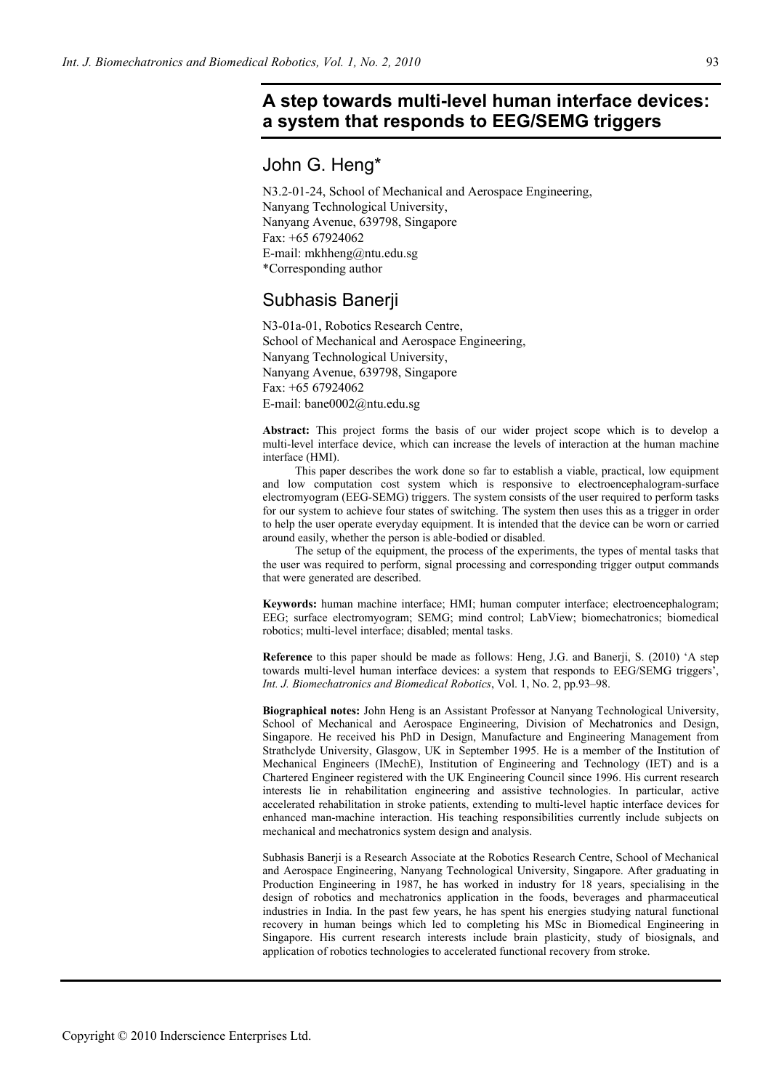# **A step towards multi-level human interface devices: a system that responds to EEG/SEMG triggers**

## John G. Heng\*

N3.2-01-24, School of Mechanical and Aerospace Engineering, Nanyang Technological University, Nanyang Avenue, 639798, Singapore Fax: +65 67924062 E-mail: mkhheng@ntu.edu.sg \*Corresponding author

## Subhasis Banerji

N3-01a-01, Robotics Research Centre, School of Mechanical and Aerospace Engineering, Nanyang Technological University, Nanyang Avenue, 639798, Singapore Fax: +65 67924062 E-mail: bane0002@ntu.edu.sg

**Abstract:** This project forms the basis of our wider project scope which is to develop a multi-level interface device, which can increase the levels of interaction at the human machine interface (HMI).

 This paper describes the work done so far to establish a viable, practical, low equipment and low computation cost system which is responsive to electroencephalogram-surface electromyogram (EEG-SEMG) triggers. The system consists of the user required to perform tasks for our system to achieve four states of switching. The system then uses this as a trigger in order to help the user operate everyday equipment. It is intended that the device can be worn or carried around easily, whether the person is able-bodied or disabled.

 The setup of the equipment, the process of the experiments, the types of mental tasks that the user was required to perform, signal processing and corresponding trigger output commands that were generated are described.

**Keywords:** human machine interface; HMI; human computer interface; electroencephalogram; EEG; surface electromyogram; SEMG; mind control; LabView; biomechatronics; biomedical robotics; multi-level interface; disabled; mental tasks.

**Reference** to this paper should be made as follows: Heng, J.G. and Banerji, S. (2010) 'A step towards multi-level human interface devices: a system that responds to EEG/SEMG triggers', *Int. J. Biomechatronics and Biomedical Robotics*, Vol. 1, No. 2, pp.93–98.

**Biographical notes:** John Heng is an Assistant Professor at Nanyang Technological University, School of Mechanical and Aerospace Engineering, Division of Mechatronics and Design, Singapore. He received his PhD in Design, Manufacture and Engineering Management from Strathclyde University, Glasgow, UK in September 1995. He is a member of the Institution of Mechanical Engineers (IMechE), Institution of Engineering and Technology (IET) and is a Chartered Engineer registered with the UK Engineering Council since 1996. His current research interests lie in rehabilitation engineering and assistive technologies. In particular, active accelerated rehabilitation in stroke patients, extending to multi-level haptic interface devices for enhanced man-machine interaction. His teaching responsibilities currently include subjects on mechanical and mechatronics system design and analysis.

Subhasis Banerji is a Research Associate at the Robotics Research Centre, School of Mechanical and Aerospace Engineering, Nanyang Technological University, Singapore. After graduating in Production Engineering in 1987, he has worked in industry for 18 years, specialising in the design of robotics and mechatronics application in the foods, beverages and pharmaceutical industries in India. In the past few years, he has spent his energies studying natural functional recovery in human beings which led to completing his MSc in Biomedical Engineering in Singapore. His current research interests include brain plasticity, study of biosignals, and application of robotics technologies to accelerated functional recovery from stroke.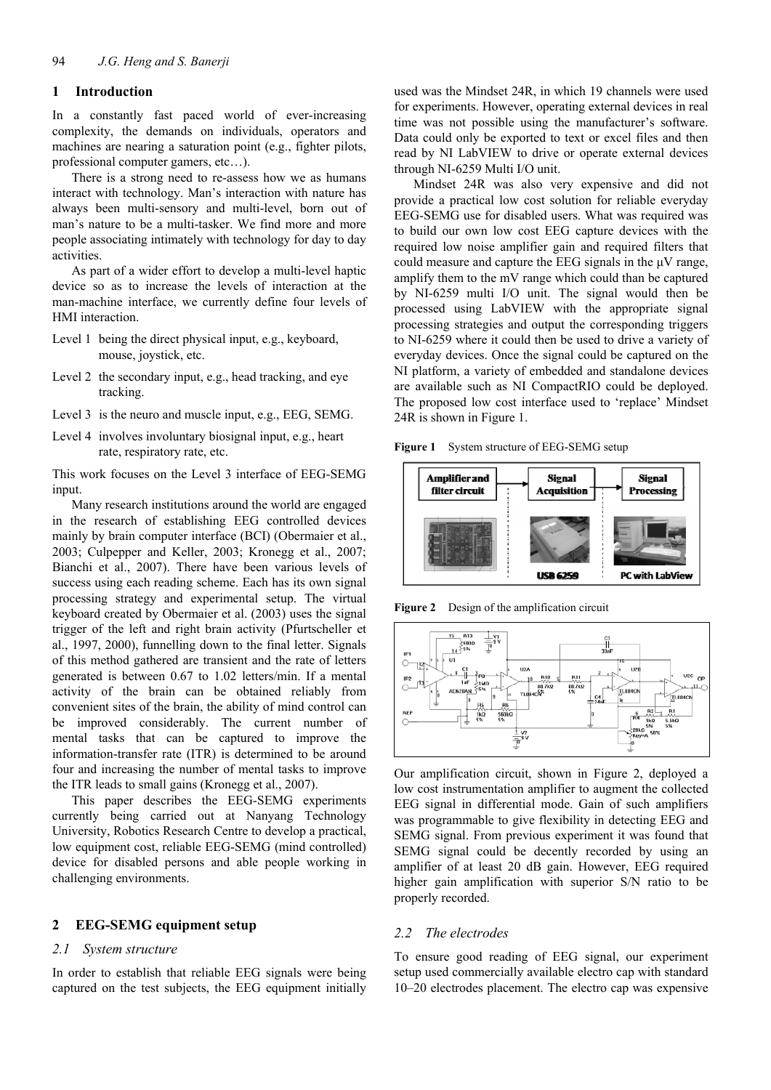## **1 Introduction**

In a constantly fast paced world of ever-increasing complexity, the demands on individuals, operators and machines are nearing a saturation point (e.g., fighter pilots, professional computer gamers, etc…).

There is a strong need to re-assess how we as humans interact with technology. Man's interaction with nature has always been multi-sensory and multi-level, born out of man's nature to be a multi-tasker. We find more and more people associating intimately with technology for day to day activities.

As part of a wider effort to develop a multi-level haptic device so as to increase the levels of interaction at the man-machine interface, we currently define four levels of HMI interaction.

- Level 1 being the direct physical input, e.g., keyboard, mouse, joystick, etc.
- Level 2 the secondary input, e.g., head tracking, and eye tracking.
- Level 3 is the neuro and muscle input, e.g., EEG, SEMG.
- Level 4 involves involuntary biosignal input, e.g., heart rate, respiratory rate, etc.

This work focuses on the Level 3 interface of EEG-SEMG input.

Many research institutions around the world are engaged in the research of establishing EEG controlled devices mainly by brain computer interface (BCI) (Obermaier et al., 2003; Culpepper and Keller, 2003; Kronegg et al., 2007; Bianchi et al., 2007). There have been various levels of success using each reading scheme. Each has its own signal processing strategy and experimental setup. The virtual keyboard created by Obermaier et al. (2003) uses the signal trigger of the left and right brain activity (Pfurtscheller et al., 1997, 2000), funnelling down to the final letter. Signals of this method gathered are transient and the rate of letters generated is between 0.67 to 1.02 letters/min. If a mental activity of the brain can be obtained reliably from convenient sites of the brain, the ability of mind control can be improved considerably. The current number of mental tasks that can be captured to improve the information-transfer rate (ITR) is determined to be around four and increasing the number of mental tasks to improve the ITR leads to small gains (Kronegg et al., 2007).

This paper describes the EEG-SEMG experiments currently being carried out at Nanyang Technology University, Robotics Research Centre to develop a practical, low equipment cost, reliable EEG-SEMG (mind controlled) device for disabled persons and able people working in challenging environments.

## **2 EEG-SEMG equipment setup**

#### *2.1 System structure*

In order to establish that reliable EEG signals were being captured on the test subjects, the EEG equipment initially

used was the Mindset 24R, in which 19 channels were used for experiments. However, operating external devices in real time was not possible using the manufacturer's software. Data could only be exported to text or excel files and then read by NI LabVIEW to drive or operate external devices through NI-6259 Multi I/O unit.

Mindset 24R was also very expensive and did not provide a practical low cost solution for reliable everyday EEG-SEMG use for disabled users. What was required was to build our own low cost EEG capture devices with the required low noise amplifier gain and required filters that could measure and capture the EEG signals in the μV range, amplify them to the mV range which could than be captured by NI-6259 multi I/O unit. The signal would then be processed using LabVIEW with the appropriate signal processing strategies and output the corresponding triggers to NI-6259 where it could then be used to drive a variety of everyday devices. Once the signal could be captured on the NI platform, a variety of embedded and standalone devices are available such as NI CompactRIO could be deployed. The proposed low cost interface used to 'replace' Mindset 24R is shown in Figure 1.

**Figure 1** System structure of EEG-SEMG setup



**Figure 2** Design of the amplification circuit



Our amplification circuit, shown in Figure 2, deployed a low cost instrumentation amplifier to augment the collected EEG signal in differential mode. Gain of such amplifiers was programmable to give flexibility in detecting EEG and SEMG signal. From previous experiment it was found that SEMG signal could be decently recorded by using an amplifier of at least 20 dB gain. However, EEG required higher gain amplification with superior S/N ratio to be properly recorded.

#### *2.2 The electrodes*

To ensure good reading of EEG signal, our experiment setup used commercially available electro cap with standard 10–20 electrodes placement. The electro cap was expensive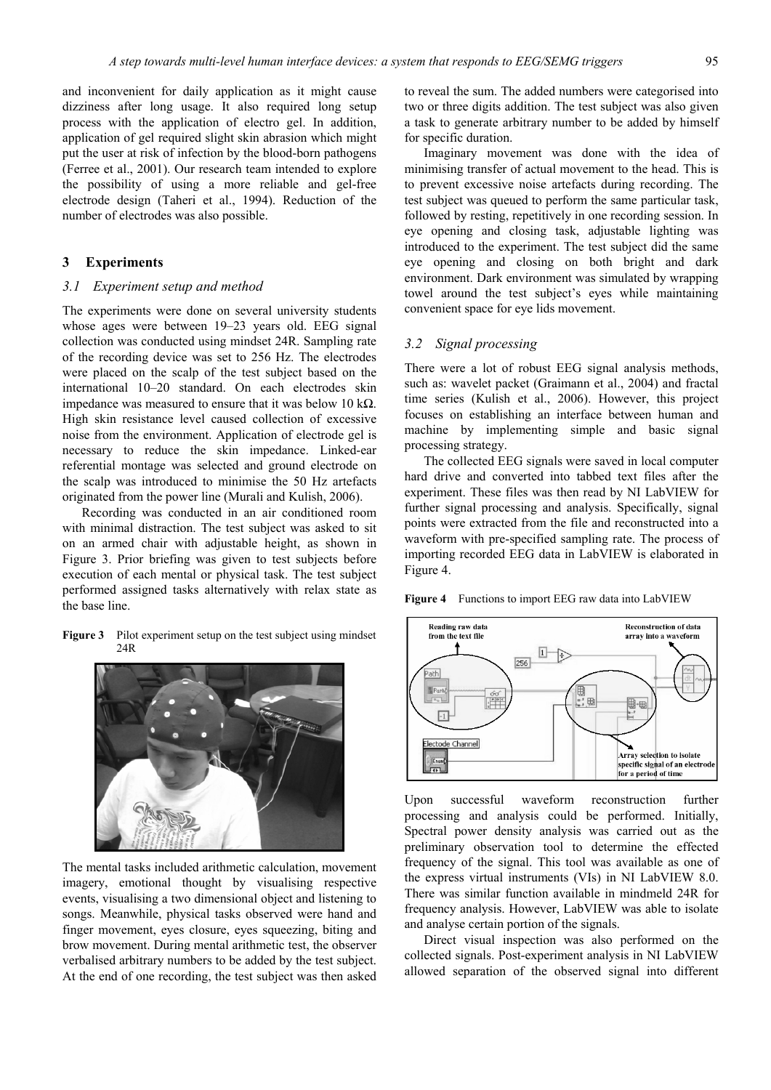and inconvenient for daily application as it might cause dizziness after long usage. It also required long setup process with the application of electro gel. In addition, application of gel required slight skin abrasion which might put the user at risk of infection by the blood-born pathogens (Ferree et al., 2001). Our research team intended to explore the possibility of using a more reliable and gel-free electrode design (Taheri et al., 1994). Reduction of the number of electrodes was also possible.

## **3 Experiments**

#### *3.1 Experiment setup and method*

The experiments were done on several university students whose ages were between 19–23 years old. EEG signal collection was conducted using mindset 24R. Sampling rate of the recording device was set to 256 Hz. The electrodes were placed on the scalp of the test subject based on the international 10–20 standard. On each electrodes skin impedance was measured to ensure that it was below 10 kΩ. High skin resistance level caused collection of excessive noise from the environment. Application of electrode gel is necessary to reduce the skin impedance. Linked-ear referential montage was selected and ground electrode on the scalp was introduced to minimise the 50 Hz artefacts originated from the power line (Murali and Kulish, 2006).

Recording was conducted in an air conditioned room with minimal distraction. The test subject was asked to sit on an armed chair with adjustable height, as shown in Figure 3. Prior briefing was given to test subjects before execution of each mental or physical task. The test subject performed assigned tasks alternatively with relax state as the base line.

Figure 3 Pilot experiment setup on the test subject using mindset 24R



The mental tasks included arithmetic calculation, movement imagery, emotional thought by visualising respective events, visualising a two dimensional object and listening to songs. Meanwhile, physical tasks observed were hand and finger movement, eyes closure, eyes squeezing, biting and brow movement. During mental arithmetic test, the observer verbalised arbitrary numbers to be added by the test subject. At the end of one recording, the test subject was then asked

to reveal the sum. The added numbers were categorised into two or three digits addition. The test subject was also given a task to generate arbitrary number to be added by himself for specific duration.

Imaginary movement was done with the idea of minimising transfer of actual movement to the head. This is to prevent excessive noise artefacts during recording. The test subject was queued to perform the same particular task, followed by resting, repetitively in one recording session. In eye opening and closing task, adjustable lighting was introduced to the experiment. The test subject did the same eye opening and closing on both bright and dark environment. Dark environment was simulated by wrapping towel around the test subject's eyes while maintaining convenient space for eye lids movement.

### *3.2 Signal processing*

There were a lot of robust EEG signal analysis methods, such as: wavelet packet (Graimann et al., 2004) and fractal time series (Kulish et al., 2006). However, this project focuses on establishing an interface between human and machine by implementing simple and basic signal processing strategy.

The collected EEG signals were saved in local computer hard drive and converted into tabbed text files after the experiment. These files was then read by NI LabVIEW for further signal processing and analysis. Specifically, signal points were extracted from the file and reconstructed into a waveform with pre-specified sampling rate. The process of importing recorded EEG data in LabVIEW is elaborated in Figure 4.

**Figure 4** Functions to import EEG raw data into LabVIEW



Upon successful waveform reconstruction further processing and analysis could be performed. Initially, Spectral power density analysis was carried out as the preliminary observation tool to determine the effected frequency of the signal. This tool was available as one of the express virtual instruments (VIs) in NI LabVIEW 8.0. There was similar function available in mindmeld 24R for frequency analysis. However, LabVIEW was able to isolate and analyse certain portion of the signals.

Direct visual inspection was also performed on the collected signals. Post-experiment analysis in NI LabVIEW allowed separation of the observed signal into different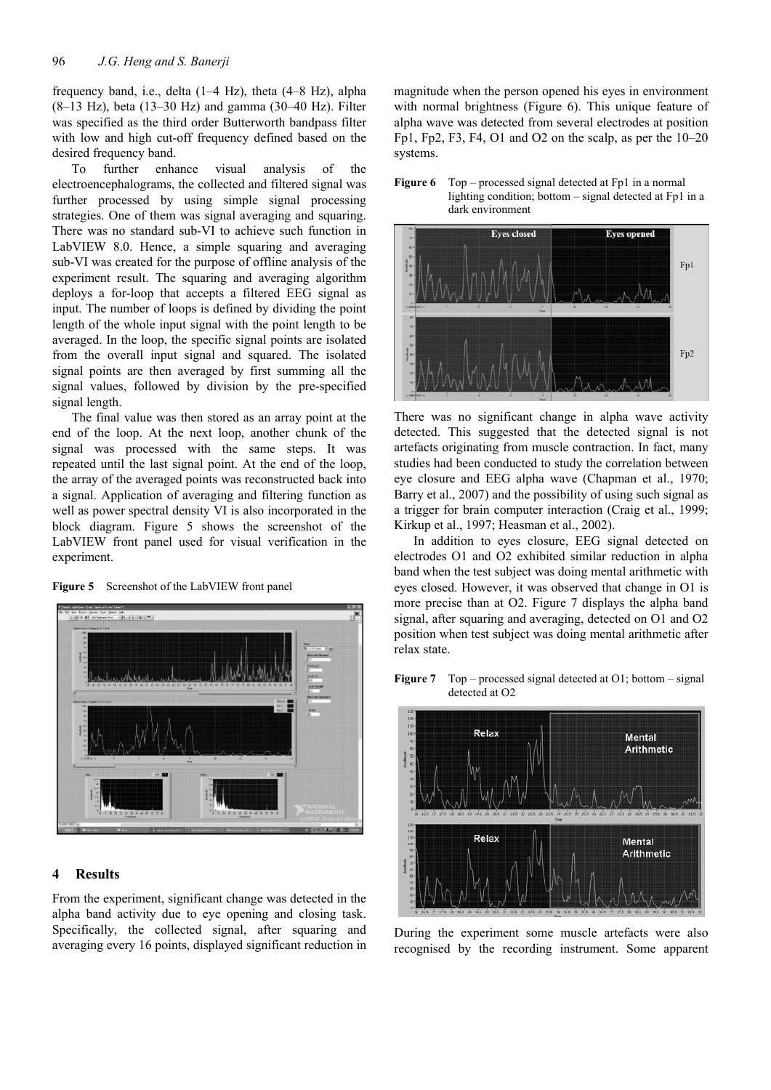frequency band, i.e., delta (1–4 Hz), theta (4–8 Hz), alpha  $(8-13 \text{ Hz})$ , beta  $(13-30 \text{ Hz})$  and gamma  $(30-40 \text{ Hz})$ . Filter was specified as the third order Butterworth bandpass filter with low and high cut-off frequency defined based on the desired frequency band.

To further enhance visual analysis of the electroencephalograms, the collected and filtered signal was further processed by using simple signal processing strategies. One of them was signal averaging and squaring. There was no standard sub-VI to achieve such function in LabVIEW 8.0. Hence, a simple squaring and averaging sub-VI was created for the purpose of offline analysis of the experiment result. The squaring and averaging algorithm deploys a for-loop that accepts a filtered EEG signal as input. The number of loops is defined by dividing the point length of the whole input signal with the point length to be averaged. In the loop, the specific signal points are isolated from the overall input signal and squared. The isolated signal points are then averaged by first summing all the signal values, followed by division by the pre-specified signal length.

The final value was then stored as an array point at the end of the loop. At the next loop, another chunk of the signal was processed with the same steps. It was repeated until the last signal point. At the end of the loop, the array of the averaged points was reconstructed back into a signal. Application of averaging and filtering function as well as power spectral density VI is also incorporated in the block diagram. Figure 5 shows the screenshot of the LabVIEW front panel used for visual verification in the experiment.





## **4 Results**

From the experiment, significant change was detected in the alpha band activity due to eye opening and closing task. Specifically, the collected signal, after squaring and averaging every 16 points, displayed significant reduction in magnitude when the person opened his eyes in environment with normal brightness (Figure 6). This unique feature of alpha wave was detected from several electrodes at position Fp1, Fp2, F3, F4, O1 and O2 on the scalp, as per the  $10-20$ systems.

**Figure 6** Top – processed signal detected at Fp1 in a normal

lighting condition; bottom – signal detected at Fp1 in a



There was no significant change in alpha wave activity detected. This suggested that the detected signal is not artefacts originating from muscle contraction. In fact, many studies had been conducted to study the correlation between eye closure and EEG alpha wave (Chapman et al., 1970; Barry et al., 2007) and the possibility of using such signal as a trigger for brain computer interaction (Craig et al., 1999; Kirkup et al., 1997; Heasman et al., 2002).

In addition to eyes closure, EEG signal detected on electrodes O1 and O2 exhibited similar reduction in alpha band when the test subject was doing mental arithmetic with eyes closed. However, it was observed that change in O1 is more precise than at O2. Figure 7 displays the alpha band signal, after squaring and averaging, detected on O1 and O2 position when test subject was doing mental arithmetic after relax state.



**Figure 7** Top – processed signal detected at O1; bottom – signal detected at O2

During the experiment some muscle artefacts were also recognised by the recording instrument. Some apparent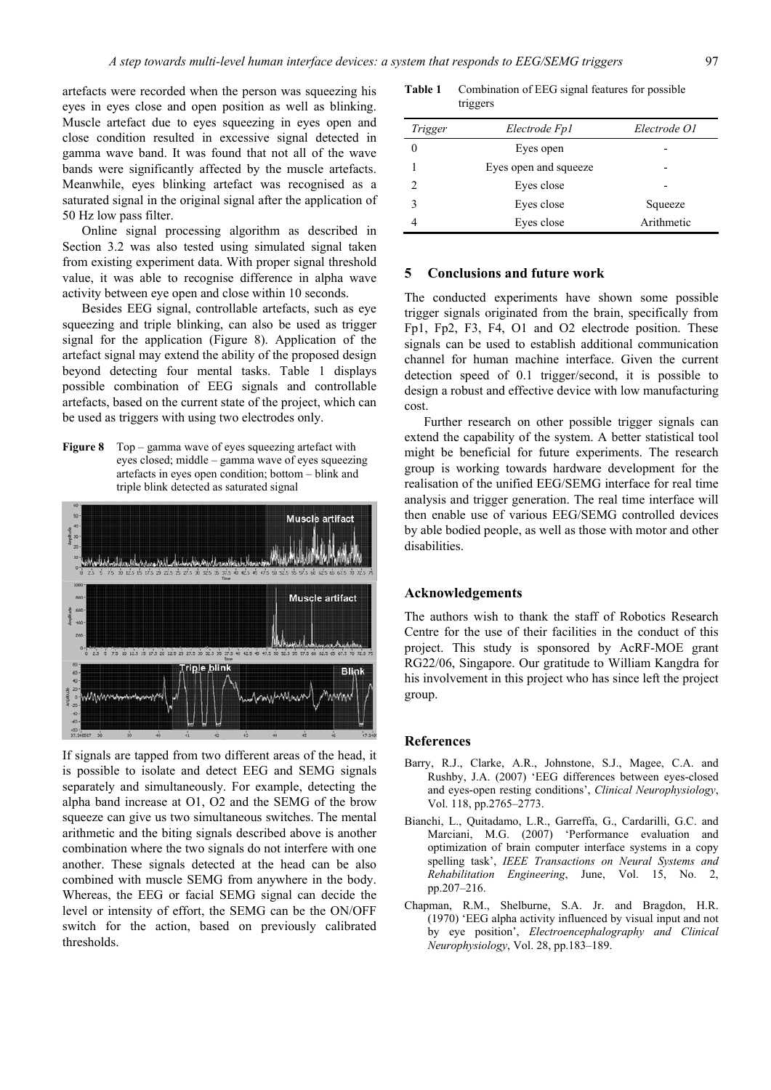artefacts were recorded when the person was squeezing his eyes in eyes close and open position as well as blinking. Muscle artefact due to eyes squeezing in eyes open and close condition resulted in excessive signal detected in gamma wave band. It was found that not all of the wave bands were significantly affected by the muscle artefacts. Meanwhile, eyes blinking artefact was recognised as a saturated signal in the original signal after the application of 50 Hz low pass filter.

Online signal processing algorithm as described in Section 3.2 was also tested using simulated signal taken from existing experiment data. With proper signal threshold value, it was able to recognise difference in alpha wave activity between eye open and close within 10 seconds.

Besides EEG signal, controllable artefacts, such as eye squeezing and triple blinking, can also be used as trigger signal for the application (Figure 8). Application of the artefact signal may extend the ability of the proposed design beyond detecting four mental tasks. Table 1 displays possible combination of EEG signals and controllable artefacts, based on the current state of the project, which can be used as triggers with using two electrodes only.

**Figure 8** Top – gamma wave of eyes squeezing artefact with eyes closed; middle – gamma wave of eyes squeezing artefacts in eyes open condition; bottom – blink and triple blink detected as saturated signal



If signals are tapped from two different areas of the head, it is possible to isolate and detect EEG and SEMG signals separately and simultaneously. For example, detecting the alpha band increase at O1, O2 and the SEMG of the brow squeeze can give us two simultaneous switches. The mental arithmetic and the biting signals described above is another combination where the two signals do not interfere with one another. These signals detected at the head can be also combined with muscle SEMG from anywhere in the body. Whereas, the EEG or facial SEMG signal can decide the level or intensity of effort, the SEMG can be the ON/OFF switch for the action, based on previously calibrated thresholds.

**Table 1** Combination of EEG signal features for possible triggers

| Trigger | Electrode Fp1         | Electrode O1 |
|---------|-----------------------|--------------|
|         | Eyes open             |              |
|         | Eyes open and squeeze |              |
| 2       | Eyes close            |              |
|         | Eyes close            | Squeeze      |
|         | Eyes close            | Arithmetic   |

### **5 Conclusions and future work**

The conducted experiments have shown some possible trigger signals originated from the brain, specifically from Fp1, Fp2, F3, F4, O1 and O2 electrode position. These signals can be used to establish additional communication channel for human machine interface. Given the current detection speed of 0.1 trigger/second, it is possible to design a robust and effective device with low manufacturing cost.

Further research on other possible trigger signals can extend the capability of the system. A better statistical tool might be beneficial for future experiments. The research group is working towards hardware development for the realisation of the unified EEG/SEMG interface for real time analysis and trigger generation. The real time interface will then enable use of various EEG/SEMG controlled devices by able bodied people, as well as those with motor and other disabilities.

## **Acknowledgements**

The authors wish to thank the staff of Robotics Research Centre for the use of their facilities in the conduct of this project. This study is sponsored by AcRF-MOE grant RG22/06, Singapore. Our gratitude to William Kangdra for his involvement in this project who has since left the project group.

#### **References**

- Barry, R.J., Clarke, A.R., Johnstone, S.J., Magee, C.A. and Rushby, J.A. (2007) 'EEG differences between eyes-closed and eyes-open resting conditions', *Clinical Neurophysiology*, Vol. 118, pp.2765–2773.
- Bianchi, L., Quitadamo, L.R., Garreffa, G., Cardarilli, G.C. and Marciani, M.G. (2007) 'Performance evaluation and optimization of brain computer interface systems in a copy spelling task', *IEEE Transactions on Neural Systems and Rehabilitation Engineering*, June, Vol. 15, No. 2, pp.207–216.
- Chapman, R.M., Shelburne, S.A. Jr. and Bragdon, H.R. (1970) 'EEG alpha activity influenced by visual input and not by eye position', *Electroencephalography and Clinical Neurophysiology*, Vol. 28, pp.183–189.